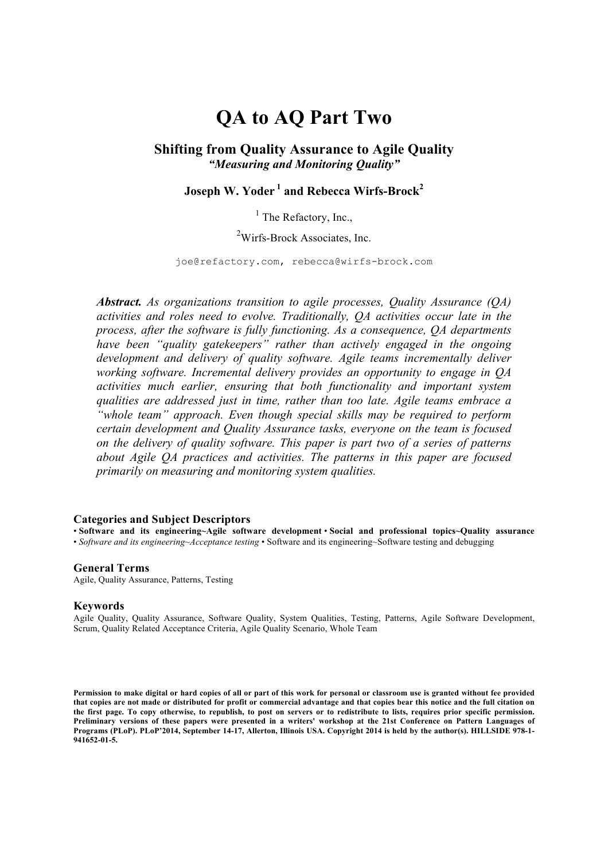# **QA to AQ Part Two**

#### **Shifting from Quality Assurance to Agile Quality** *"Measuring and Monitoring Quality"*

## **Joseph W. Yoder <sup>1</sup> and Rebecca Wirfs-Brock<sup>2</sup>**

### $<sup>1</sup>$  The Refactory, Inc.,</sup>

### <sup>2</sup>Wirfs-Brock Associates, Inc.

joe@refactory.com, rebecca@wirfs-brock.com

*Abstract. As organizations transition to agile processes, Quality Assurance (QA) activities and roles need to evolve. Traditionally, QA activities occur late in the process, after the software is fully functioning. As a consequence, QA departments have been "quality gatekeepers" rather than actively engaged in the ongoing development and delivery of quality software. Agile teams incrementally deliver working software. Incremental delivery provides an opportunity to engage in QA activities much earlier, ensuring that both functionality and important system qualities are addressed just in time, rather than too late. Agile teams embrace a "whole team" approach. Even though special skills may be required to perform certain development and Quality Assurance tasks, everyone on the team is focused on the delivery of quality software. This paper is part two of a series of patterns about Agile QA practices and activities. The patterns in this paper are focused primarily on measuring and monitoring system qualities.*

#### **Categories and Subject Descriptors**

• **Software and its engineering~Agile software development** • **Social and professional topics~Quality assurance** • *Software and its engineering~Acceptance testing* • Software and its engineering~Software testing and debugging

#### **General Terms**

Agile, Quality Assurance, Patterns, Testing

#### **Keywords**

Agile Quality, Quality Assurance, Software Quality, System Qualities, Testing, Patterns, Agile Software Development, Scrum, Quality Related Acceptance Criteria, Agile Quality Scenario, Whole Team

**Permission to make digital or hard copies of all or part of this work for personal or classroom use is granted without fee provided that copies are not made or distributed for profit or commercial advantage and that copies bear this notice and the full citation on the first page. To copy otherwise, to republish, to post on servers or to redistribute to lists, requires prior specific permission. Preliminary versions of these papers were presented in a writers' workshop at the 21st Conference on Pattern Languages of Programs (PLoP). PLoP'2014, September 14-17, Allerton, Illinois USA. Copyright 2014 is held by the author(s). HILLSIDE 978-1- 941652-01-5.**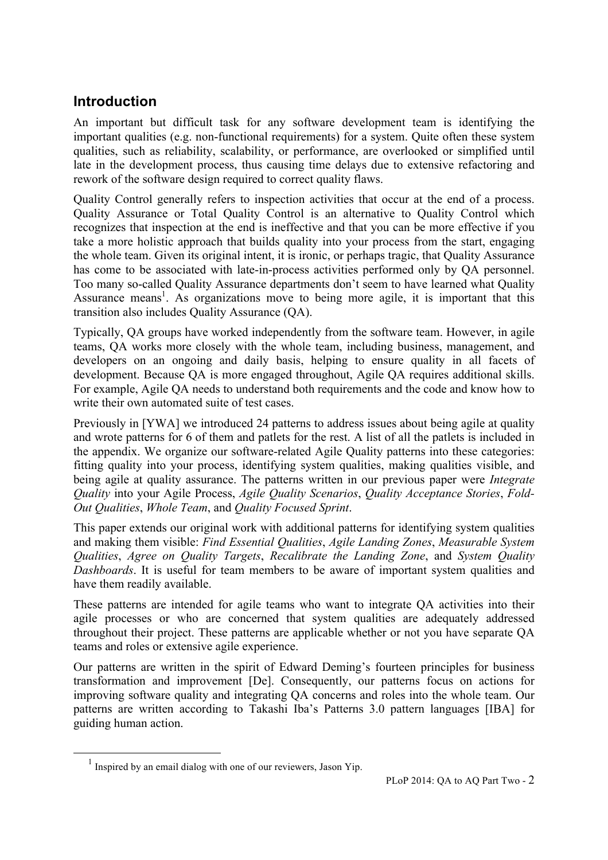## **Introduction**

An important but difficult task for any software development team is identifying the important qualities (e.g. non-functional requirements) for a system. Quite often these system qualities, such as reliability, scalability, or performance, are overlooked or simplified until late in the development process, thus causing time delays due to extensive refactoring and rework of the software design required to correct quality flaws.

Quality Control generally refers to inspection activities that occur at the end of a process. Quality Assurance or Total Quality Control is an alternative to Quality Control which recognizes that inspection at the end is ineffective and that you can be more effective if you take a more holistic approach that builds quality into your process from the start, engaging the whole team. Given its original intent, it is ironic, or perhaps tragic, that Quality Assurance has come to be associated with late-in-process activities performed only by QA personnel. Too many so-called Quality Assurance departments don't seem to have learned what Quality Assurance means<sup>1</sup>. As organizations move to being more agile, it is important that this transition also includes Quality Assurance (QA).

Typically, QA groups have worked independently from the software team. However, in agile teams, QA works more closely with the whole team, including business, management, and developers on an ongoing and daily basis, helping to ensure quality in all facets of development. Because QA is more engaged throughout, Agile QA requires additional skills. For example, Agile QA needs to understand both requirements and the code and know how to write their own automated suite of test cases.

Previously in [YWA] we introduced 24 patterns to address issues about being agile at quality and wrote patterns for 6 of them and patlets for the rest. A list of all the patlets is included in the appendix. We organize our software-related Agile Quality patterns into these categories: fitting quality into your process, identifying system qualities, making qualities visible, and being agile at quality assurance. The patterns written in our previous paper were *Integrate Quality* into your Agile Process, *Agile Quality Scenarios*, *Quality Acceptance Stories*, *Fold-Out Qualities*, *Whole Team*, and *Quality Focused Sprint*.

This paper extends our original work with additional patterns for identifying system qualities and making them visible: *Find Essential Qualities*, *Agile Landing Zones*, *Measurable System Qualities*, *Agree on Quality Targets*, *Recalibrate the Landing Zone*, and *System Quality Dashboards*. It is useful for team members to be aware of important system qualities and have them readily available.

These patterns are intended for agile teams who want to integrate QA activities into their agile processes or who are concerned that system qualities are adequately addressed throughout their project. These patterns are applicable whether or not you have separate QA teams and roles or extensive agile experience.

Our patterns are written in the spirit of Edward Deming's fourteen principles for business transformation and improvement [De]. Consequently, our patterns focus on actions for improving software quality and integrating QA concerns and roles into the whole team. Our patterns are written according to Takashi Iba's Patterns 3.0 pattern languages [IBA] for guiding human action.

 <sup>1</sup> Inspired by an email dialog with one of our reviewers, Jason Yip.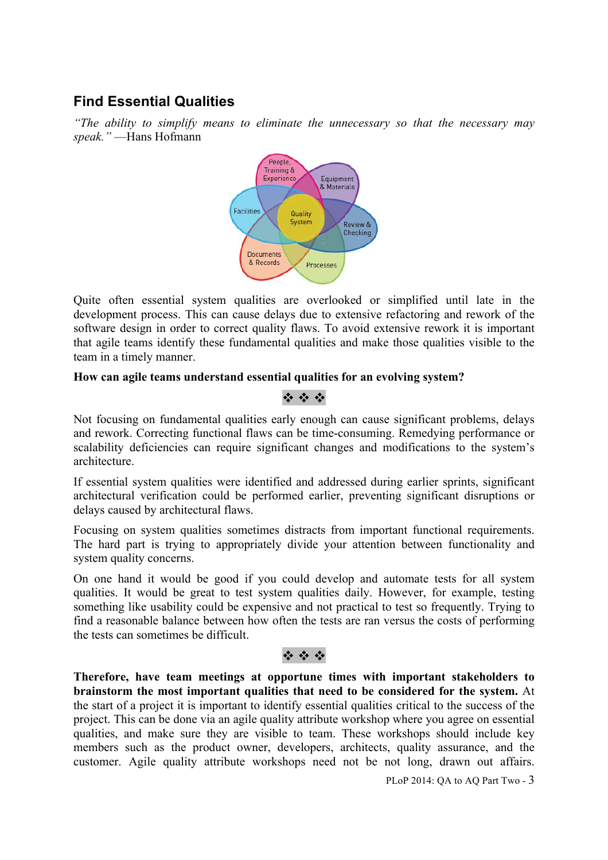# **Find Essential Qualities**

*"The ability to simplify means to eliminate the unnecessary so that the necessary may speak."* —Hans Hofmann



Quite often essential system qualities are overlooked or simplified until late in the development process. This can cause delays due to extensive refactoring and rework of the software design in order to correct quality flaws. To avoid extensive rework it is important that agile teams identify these fundamental qualities and make those qualities visible to the team in a timely manner.

#### **How can agile teams understand essential qualities for an evolving system?**

### $49.49.49$

Not focusing on fundamental qualities early enough can cause significant problems, delays and rework. Correcting functional flaws can be time-consuming. Remedying performance or scalability deficiencies can require significant changes and modifications to the system's architecture.

If essential system qualities were identified and addressed during earlier sprints, significant architectural verification could be performed earlier, preventing significant disruptions or delays caused by architectural flaws.

Focusing on system qualities sometimes distracts from important functional requirements. The hard part is trying to appropriately divide your attention between functionality and system quality concerns.

On one hand it would be good if you could develop and automate tests for all system qualities. It would be great to test system qualities daily. However, for example, testing something like usability could be expensive and not practical to test so frequently. Trying to find a reasonable balance between how often the tests are ran versus the costs of performing the tests can sometimes be difficult.

### 12 : 12 : 12

**Therefore, have team meetings at opportune times with important stakeholders to brainstorm the most important qualities that need to be considered for the system.** At the start of a project it is important to identify essential qualities critical to the success of the project. This can be done via an agile quality attribute workshop where you agree on essential qualities, and make sure they are visible to team. These workshops should include key members such as the product owner, developers, architects, quality assurance, and the customer. Agile quality attribute workshops need not be not long, drawn out affairs.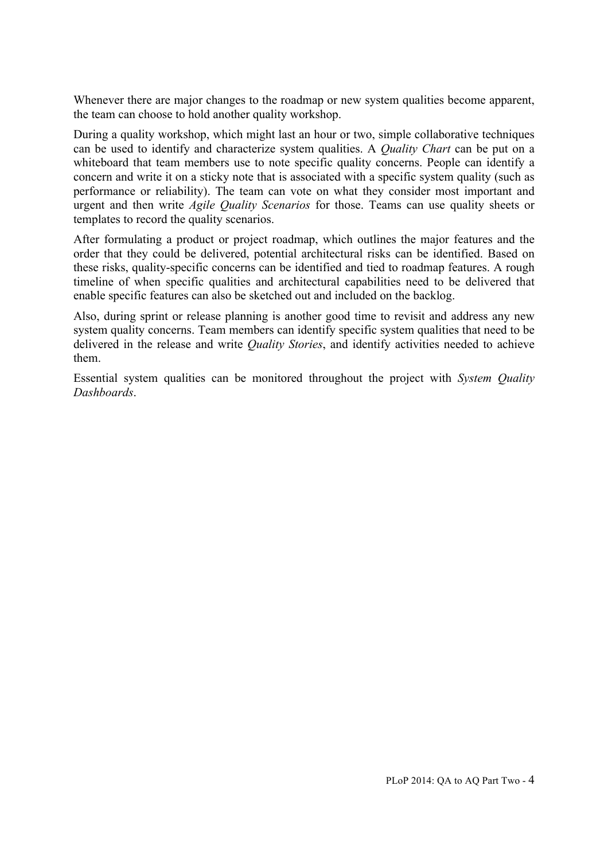Whenever there are major changes to the roadmap or new system qualities become apparent, the team can choose to hold another quality workshop.

During a quality workshop, which might last an hour or two, simple collaborative techniques can be used to identify and characterize system qualities. A *Quality Chart* can be put on a whiteboard that team members use to note specific quality concerns. People can identify a concern and write it on a sticky note that is associated with a specific system quality (such as performance or reliability). The team can vote on what they consider most important and urgent and then write *Agile Quality Scenarios* for those. Teams can use quality sheets or templates to record the quality scenarios.

After formulating a product or project roadmap, which outlines the major features and the order that they could be delivered, potential architectural risks can be identified. Based on these risks, quality-specific concerns can be identified and tied to roadmap features. A rough timeline of when specific qualities and architectural capabilities need to be delivered that enable specific features can also be sketched out and included on the backlog.

Also, during sprint or release planning is another good time to revisit and address any new system quality concerns. Team members can identify specific system qualities that need to be delivered in the release and write *Quality Stories*, and identify activities needed to achieve them.

Essential system qualities can be monitored throughout the project with *System Quality Dashboards*.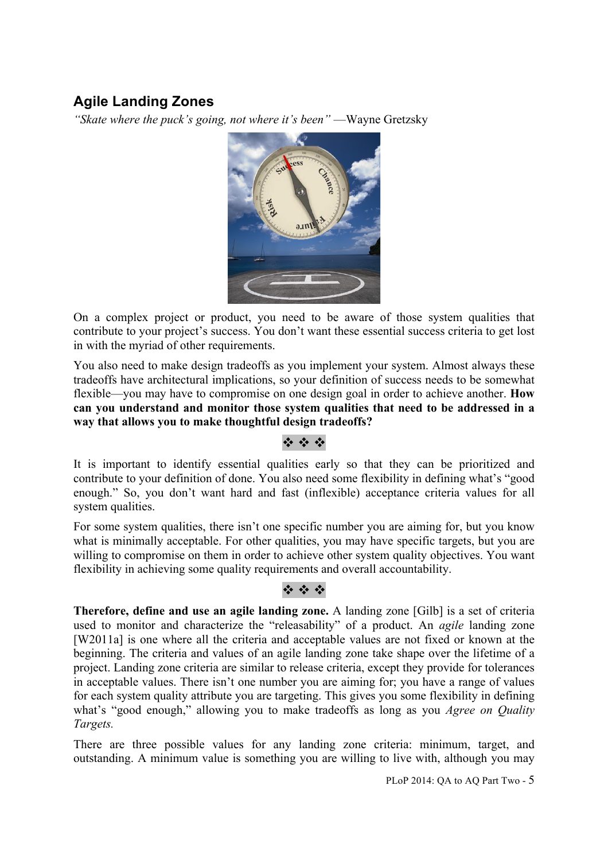# **Agile Landing Zones**

*"Skate where the puck's going, not where it's been"* —Wayne Gretzsky



On a complex project or product, you need to be aware of those system qualities that contribute to your project's success. You don't want these essential success criteria to get lost in with the myriad of other requirements.

You also need to make design tradeoffs as you implement your system. Almost always these tradeoffs have architectural implications, so your definition of success needs to be somewhat flexible—you may have to compromise on one design goal in order to achieve another. **How can you understand and monitor those system qualities that need to be addressed in a way that allows you to make thoughtful design tradeoffs?**

### $49.49.49$

It is important to identify essential qualities early so that they can be prioritized and contribute to your definition of done. You also need some flexibility in defining what's "good enough." So, you don't want hard and fast (inflexible) acceptance criteria values for all system qualities.

For some system qualities, there isn't one specific number you are aiming for, but you know what is minimally acceptable. For other qualities, you may have specific targets, but you are willing to compromise on them in order to achieve other system quality objectives. You want flexibility in achieving some quality requirements and overall accountability.

### \* \* \*

**Therefore, define and use an agile landing zone.** A landing zone [Gilb] is a set of criteria used to monitor and characterize the "releasability" of a product. An *agile* landing zone [W2011a] is one where all the criteria and acceptable values are not fixed or known at the beginning. The criteria and values of an agile landing zone take shape over the lifetime of a project. Landing zone criteria are similar to release criteria, except they provide for tolerances in acceptable values. There isn't one number you are aiming for; you have a range of values for each system quality attribute you are targeting. This gives you some flexibility in defining what's "good enough," allowing you to make tradeoffs as long as you *Agree on Quality Targets.*

There are three possible values for any landing zone criteria: minimum, target, and outstanding. A minimum value is something you are willing to live with, although you may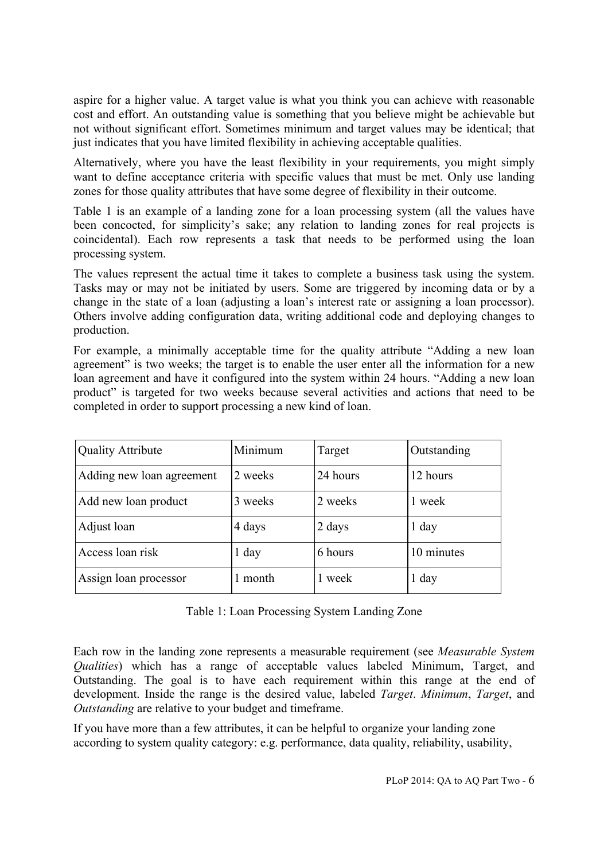aspire for a higher value. A target value is what you think you can achieve with reasonable cost and effort. An outstanding value is something that you believe might be achievable but not without significant effort. Sometimes minimum and target values may be identical; that just indicates that you have limited flexibility in achieving acceptable qualities.

Alternatively, where you have the least flexibility in your requirements, you might simply want to define acceptance criteria with specific values that must be met. Only use landing zones for those quality attributes that have some degree of flexibility in their outcome.

Table 1 is an example of a landing zone for a loan processing system (all the values have been concocted, for simplicity's sake; any relation to landing zones for real projects is coincidental). Each row represents a task that needs to be performed using the loan processing system.

The values represent the actual time it takes to complete a business task using the system. Tasks may or may not be initiated by users. Some are triggered by incoming data or by a change in the state of a loan (adjusting a loan's interest rate or assigning a loan processor). Others involve adding configuration data, writing additional code and deploying changes to production.

For example, a minimally acceptable time for the quality attribute "Adding a new loan agreement" is two weeks; the target is to enable the user enter all the information for a new loan agreement and have it configured into the system within 24 hours. "Adding a new loan product" is targeted for two weeks because several activities and actions that need to be completed in order to support processing a new kind of loan.

| <b>Quality Attribute</b>  | Minimum | Target   | Outstanding |
|---------------------------|---------|----------|-------------|
| Adding new loan agreement | 2 weeks | 24 hours | 12 hours    |
| Add new loan product      | 3 weeks | 2 weeks  | 1 week      |
| Adjust loan               | 4 days  | 2 days   | $1$ day     |
| Access loan risk          | $1$ day | 6 hours  | 10 minutes  |
| Assign loan processor     | month   | 1 week   | $1$ day     |

Each row in the landing zone represents a measurable requirement (see *Measurable System Qualities*) which has a range of acceptable values labeled Minimum, Target, and Outstanding. The goal is to have each requirement within this range at the end of development. Inside the range is the desired value, labeled *Target*. *Minimum*, *Target*, and *Outstanding* are relative to your budget and timeframe.

If you have more than a few attributes, it can be helpful to organize your landing zone according to system quality category: e.g. performance, data quality, reliability, usability,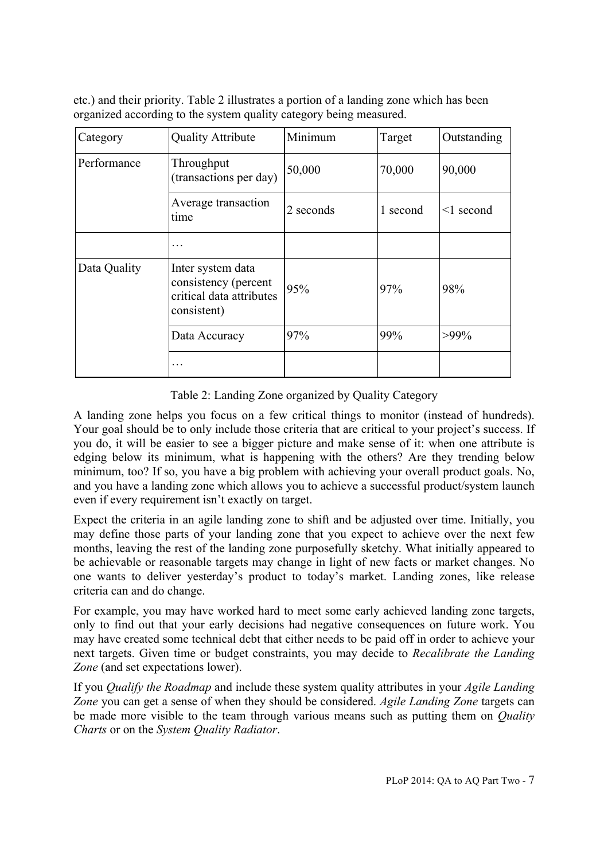etc.) and their priority. Table 2 illustrates a portion of a landing zone which has been organized according to the system quality category being measured.

| Category     | <b>Quality Attribute</b>                                                             | Minimum   | Target   | Outstanding     |
|--------------|--------------------------------------------------------------------------------------|-----------|----------|-----------------|
| Performance  | Throughput<br>(transactions per day)                                                 | 50,000    | 70,000   | 90,000          |
|              | Average transaction<br>time                                                          | 2 seconds | 1 second | $\leq$ 1 second |
|              | $\ddotsc$                                                                            |           |          |                 |
| Data Quality | Inter system data<br>consistency (percent<br>critical data attributes<br>consistent) | 95%       | 97%      | 98%             |
|              | Data Accuracy                                                                        | 97%       | 99%      | $>99\%$         |
|              |                                                                                      |           |          |                 |

Table 2: Landing Zone organized by Quality Category

A landing zone helps you focus on a few critical things to monitor (instead of hundreds). Your goal should be to only include those criteria that are critical to your project's success. If you do, it will be easier to see a bigger picture and make sense of it: when one attribute is edging below its minimum, what is happening with the others? Are they trending below minimum, too? If so, you have a big problem with achieving your overall product goals. No, and you have a landing zone which allows you to achieve a successful product/system launch even if every requirement isn't exactly on target.

Expect the criteria in an agile landing zone to shift and be adjusted over time. Initially, you may define those parts of your landing zone that you expect to achieve over the next few months, leaving the rest of the landing zone purposefully sketchy. What initially appeared to be achievable or reasonable targets may change in light of new facts or market changes. No one wants to deliver yesterday's product to today's market. Landing zones, like release criteria can and do change.

For example, you may have worked hard to meet some early achieved landing zone targets, only to find out that your early decisions had negative consequences on future work. You may have created some technical debt that either needs to be paid off in order to achieve your next targets. Given time or budget constraints, you may decide to *Recalibrate the Landing Zone* (and set expectations lower).

If you *Qualify the Roadmap* and include these system quality attributes in your *Agile Landing Zone* you can get a sense of when they should be considered. *Agile Landing Zone* targets can be made more visible to the team through various means such as putting them on *Quality Charts* or on the *System Quality Radiator*.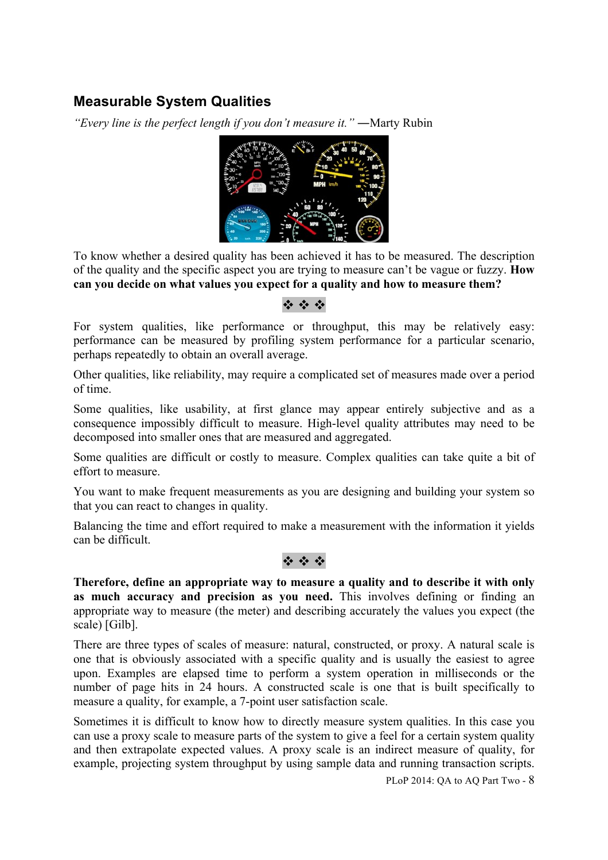# **Measurable System Qualities**

*"Every line is the perfect length if you don't measure it."* ―Marty Rubin



To know whether a desired quality has been achieved it has to be measured. The description of the quality and the specific aspect you are trying to measure can't be vague or fuzzy. **How can you decide on what values you expect for a quality and how to measure them?**

### $\mathcal{L} = \mathcal{L} = \mathcal{L}$

For system qualities, like performance or throughput, this may be relatively easy: performance can be measured by profiling system performance for a particular scenario, perhaps repeatedly to obtain an overall average.

Other qualities, like reliability, may require a complicated set of measures made over a period of time.

Some qualities, like usability, at first glance may appear entirely subjective and as a consequence impossibly difficult to measure. High-level quality attributes may need to be decomposed into smaller ones that are measured and aggregated.

Some qualities are difficult or costly to measure. Complex qualities can take quite a bit of effort to measure.

You want to make frequent measurements as you are designing and building your system so that you can react to changes in quality.

Balancing the time and effort required to make a measurement with the information it yields can be difficult.

### $4.44$

**Therefore, define an appropriate way to measure a quality and to describe it with only as much accuracy and precision as you need.** This involves defining or finding an appropriate way to measure (the meter) and describing accurately the values you expect (the scale) [Gilb].

There are three types of scales of measure: natural, constructed, or proxy. A natural scale is one that is obviously associated with a specific quality and is usually the easiest to agree upon. Examples are elapsed time to perform a system operation in milliseconds or the number of page hits in 24 hours. A constructed scale is one that is built specifically to measure a quality, for example, a 7-point user satisfaction scale.

Sometimes it is difficult to know how to directly measure system qualities. In this case you can use a proxy scale to measure parts of the system to give a feel for a certain system quality and then extrapolate expected values. A proxy scale is an indirect measure of quality, for example, projecting system throughput by using sample data and running transaction scripts.

PLoP 2014: OA to AQ Part Two -  $8$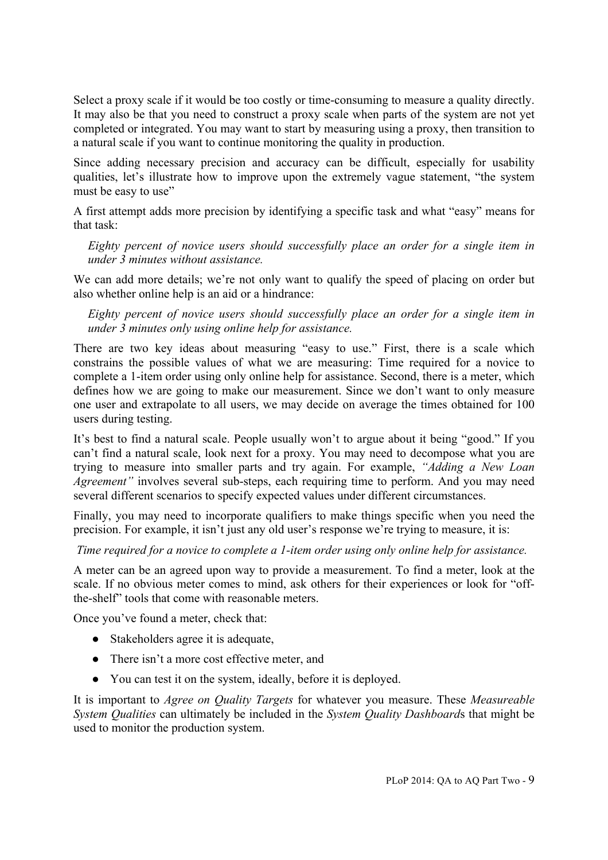Select a proxy scale if it would be too costly or time-consuming to measure a quality directly. It may also be that you need to construct a proxy scale when parts of the system are not yet completed or integrated. You may want to start by measuring using a proxy, then transition to a natural scale if you want to continue monitoring the quality in production.

Since adding necessary precision and accuracy can be difficult, especially for usability qualities, let's illustrate how to improve upon the extremely vague statement, "the system must be easy to use"

A first attempt adds more precision by identifying a specific task and what "easy" means for that task:

*Eighty percent of novice users should successfully place an order for a single item in under 3 minutes without assistance.*

We can add more details; we're not only want to qualify the speed of placing on order but also whether online help is an aid or a hindrance:

*Eighty percent of novice users should successfully place an order for a single item in under 3 minutes only using online help for assistance.*

There are two key ideas about measuring "easy to use." First, there is a scale which constrains the possible values of what we are measuring: Time required for a novice to complete a 1-item order using only online help for assistance. Second, there is a meter, which defines how we are going to make our measurement. Since we don't want to only measure one user and extrapolate to all users, we may decide on average the times obtained for 100 users during testing.

It's best to find a natural scale. People usually won't to argue about it being "good." If you can't find a natural scale, look next for a proxy. You may need to decompose what you are trying to measure into smaller parts and try again. For example, *"Adding a New Loan Agreement"* involves several sub-steps, each requiring time to perform. And you may need several different scenarios to specify expected values under different circumstances.

Finally, you may need to incorporate qualifiers to make things specific when you need the precision. For example, it isn't just any old user's response we're trying to measure, it is:

*Time required for a novice to complete a 1-item order using only online help for assistance.*

A meter can be an agreed upon way to provide a measurement. To find a meter, look at the scale. If no obvious meter comes to mind, ask others for their experiences or look for "offthe-shelf" tools that come with reasonable meters.

Once you've found a meter, check that:

- Stakeholders agree it is adequate,
- There isn't a more cost effective meter, and
- You can test it on the system, ideally, before it is deployed.

It is important to *Agree on Quality Targets* for whatever you measure. These *Measureable System Qualities* can ultimately be included in the *System Quality Dashboard*s that might be used to monitor the production system.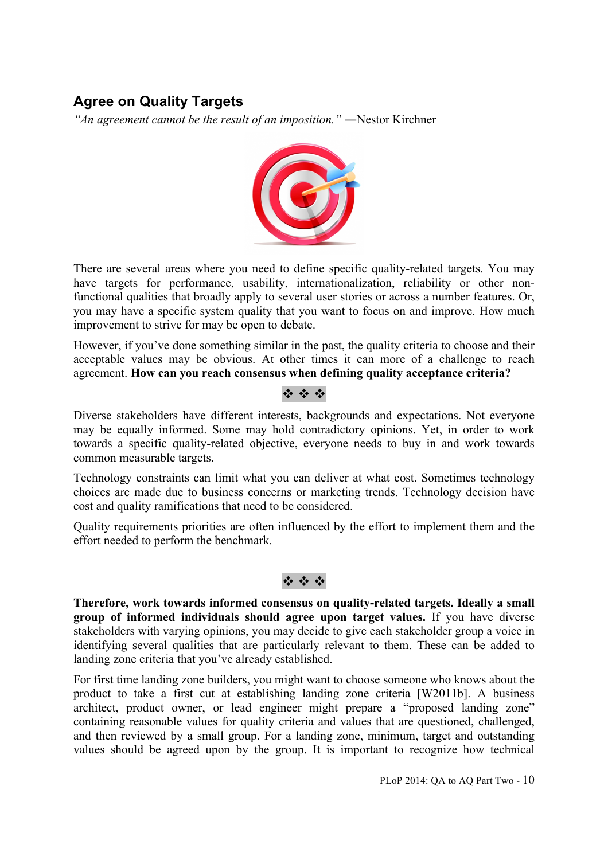## **Agree on Quality Targets**

*"An agreement cannot be the result of an imposition."* ―Nestor Kirchner



There are several areas where you need to define specific quality-related targets. You may have targets for performance, usability, internationalization, reliability or other nonfunctional qualities that broadly apply to several user stories or across a number features. Or, you may have a specific system quality that you want to focus on and improve. How much improvement to strive for may be open to debate.

However, if you've done something similar in the past, the quality criteria to choose and their acceptable values may be obvious. At other times it can more of a challenge to reach agreement. **How can you reach consensus when defining quality acceptance criteria?**

### $4.44$

Diverse stakeholders have different interests, backgrounds and expectations. Not everyone may be equally informed. Some may hold contradictory opinions. Yet, in order to work towards a specific quality-related objective, everyone needs to buy in and work towards common measurable targets.

Technology constraints can limit what you can deliver at what cost. Sometimes technology choices are made due to business concerns or marketing trends. Technology decision have cost and quality ramifications that need to be considered.

Quality requirements priorities are often influenced by the effort to implement them and the effort needed to perform the benchmark.

### $49.49.49$

**Therefore, work towards informed consensus on quality-related targets. Ideally a small group of informed individuals should agree upon target values.** If you have diverse stakeholders with varying opinions, you may decide to give each stakeholder group a voice in identifying several qualities that are particularly relevant to them. These can be added to landing zone criteria that you've already established.

For first time landing zone builders, you might want to choose someone who knows about the product to take a first cut at establishing landing zone criteria [W2011b]. A business architect, product owner, or lead engineer might prepare a "proposed landing zone" containing reasonable values for quality criteria and values that are questioned, challenged, and then reviewed by a small group. For a landing zone, minimum, target and outstanding values should be agreed upon by the group. It is important to recognize how technical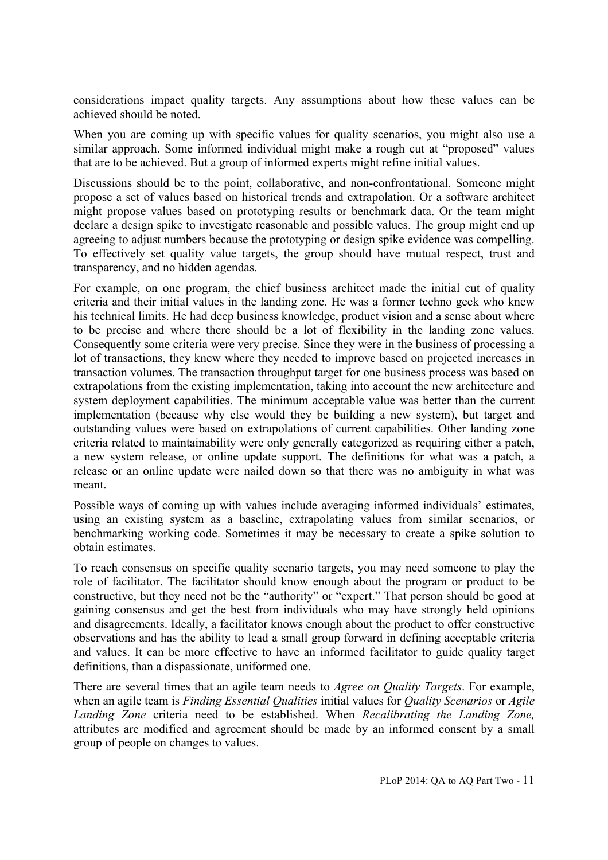considerations impact quality targets. Any assumptions about how these values can be achieved should be noted.

When you are coming up with specific values for quality scenarios, you might also use a similar approach. Some informed individual might make a rough cut at "proposed" values that are to be achieved. But a group of informed experts might refine initial values.

Discussions should be to the point, collaborative, and non-confrontational. Someone might propose a set of values based on historical trends and extrapolation. Or a software architect might propose values based on prototyping results or benchmark data. Or the team might declare a design spike to investigate reasonable and possible values. The group might end up agreeing to adjust numbers because the prototyping or design spike evidence was compelling. To effectively set quality value targets, the group should have mutual respect, trust and transparency, and no hidden agendas.

For example, on one program, the chief business architect made the initial cut of quality criteria and their initial values in the landing zone. He was a former techno geek who knew his technical limits. He had deep business knowledge, product vision and a sense about where to be precise and where there should be a lot of flexibility in the landing zone values. Consequently some criteria were very precise. Since they were in the business of processing a lot of transactions, they knew where they needed to improve based on projected increases in transaction volumes. The transaction throughput target for one business process was based on extrapolations from the existing implementation, taking into account the new architecture and system deployment capabilities. The minimum acceptable value was better than the current implementation (because why else would they be building a new system), but target and outstanding values were based on extrapolations of current capabilities. Other landing zone criteria related to maintainability were only generally categorized as requiring either a patch, a new system release, or online update support. The definitions for what was a patch, a release or an online update were nailed down so that there was no ambiguity in what was meant.

Possible ways of coming up with values include averaging informed individuals' estimates, using an existing system as a baseline, extrapolating values from similar scenarios, or benchmarking working code. Sometimes it may be necessary to create a spike solution to obtain estimates.

To reach consensus on specific quality scenario targets, you may need someone to play the role of facilitator. The facilitator should know enough about the program or product to be constructive, but they need not be the "authority" or "expert." That person should be good at gaining consensus and get the best from individuals who may have strongly held opinions and disagreements. Ideally, a facilitator knows enough about the product to offer constructive observations and has the ability to lead a small group forward in defining acceptable criteria and values. It can be more effective to have an informed facilitator to guide quality target definitions, than a dispassionate, uniformed one.

There are several times that an agile team needs to *Agree on Quality Targets*. For example, when an agile team is *Finding Essential Qualities* initial values for *Quality Scenarios* or *Agile Landing Zone* criteria need to be established. When *Recalibrating the Landing Zone,*  attributes are modified and agreement should be made by an informed consent by a small group of people on changes to values.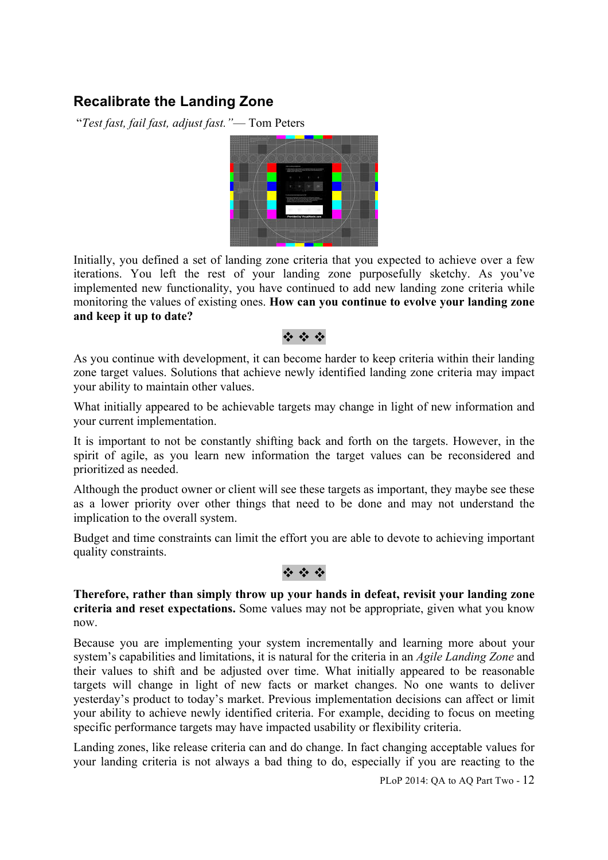# **Recalibrate the Landing Zone**

"*Test fast, fail fast, adjust fast."*— Tom Peters



Initially, you defined a set of landing zone criteria that you expected to achieve over a few iterations. You left the rest of your landing zone purposefully sketchy. As you've implemented new functionality, you have continued to add new landing zone criteria while monitoring the values of existing ones. **How can you continue to evolve your landing zone and keep it up to date?**

#### $\label{eq:2.1} \mathbf{a}_{1}^{\mathbf{a}}\mathbf{a}_{2}^{\mathbf{a}}\mathbf{a}_{3}^{\mathbf{a}}\mathbf{a}_{4}^{\mathbf{a}}\mathbf{a}_{5}^{\mathbf{a}}\mathbf{a}_{6}^{\mathbf{a}}\mathbf{a}_{7}^{\mathbf{a}}\mathbf{a}_{8}^{\mathbf{a}}\mathbf{a}_{9}^{\mathbf{a}}\mathbf{a}_{1}^{\mathbf{a}}\mathbf{a}_{1}^{\mathbf{a}}\mathbf{a}_{1}^{\mathbf{a}}\mathbf{a}_{1}^{\mathbf{a}}\mathbf{a}_{1}^{\mathbf{a}}\$

As you continue with development, it can become harder to keep criteria within their landing zone target values. Solutions that achieve newly identified landing zone criteria may impact your ability to maintain other values.

What initially appeared to be achievable targets may change in light of new information and your current implementation.

It is important to not be constantly shifting back and forth on the targets. However, in the spirit of agile, as you learn new information the target values can be reconsidered and prioritized as needed.

Although the product owner or client will see these targets as important, they maybe see these as a lower priority over other things that need to be done and may not understand the implication to the overall system.

Budget and time constraints can limit the effort you are able to devote to achieving important quality constraints.



**Therefore, rather than simply throw up your hands in defeat, revisit your landing zone criteria and reset expectations.** Some values may not be appropriate, given what you know now.

Because you are implementing your system incrementally and learning more about your system's capabilities and limitations, it is natural for the criteria in an *Agile Landing Zone* and their values to shift and be adjusted over time. What initially appeared to be reasonable targets will change in light of new facts or market changes. No one wants to deliver yesterday's product to today's market. Previous implementation decisions can affect or limit your ability to achieve newly identified criteria. For example, deciding to focus on meeting specific performance targets may have impacted usability or flexibility criteria.

Landing zones, like release criteria can and do change. In fact changing acceptable values for your landing criteria is not always a bad thing to do, especially if you are reacting to the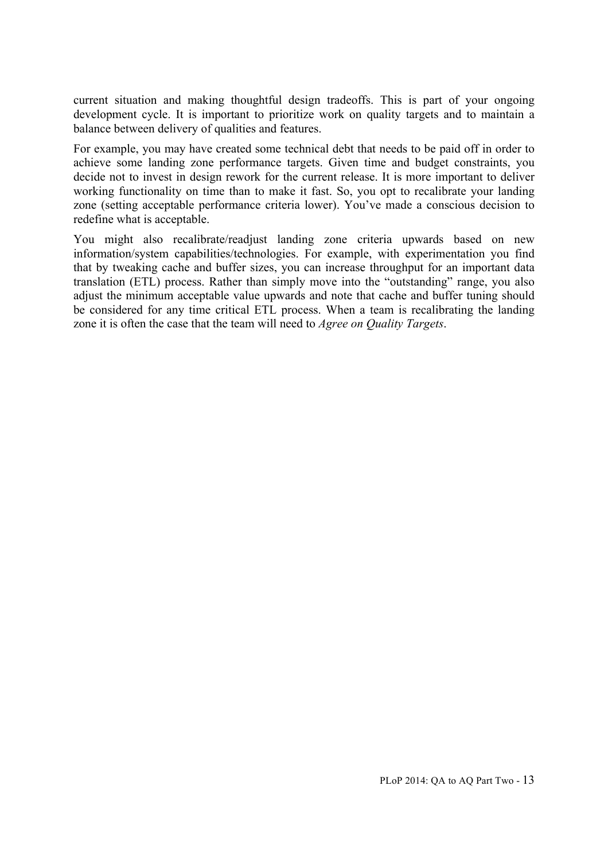current situation and making thoughtful design tradeoffs. This is part of your ongoing development cycle. It is important to prioritize work on quality targets and to maintain a balance between delivery of qualities and features.

For example, you may have created some technical debt that needs to be paid off in order to achieve some landing zone performance targets. Given time and budget constraints, you decide not to invest in design rework for the current release. It is more important to deliver working functionality on time than to make it fast. So, you opt to recalibrate your landing zone (setting acceptable performance criteria lower). You've made a conscious decision to redefine what is acceptable.

You might also recalibrate/readjust landing zone criteria upwards based on new information/system capabilities/technologies. For example, with experimentation you find that by tweaking cache and buffer sizes, you can increase throughput for an important data translation (ETL) process. Rather than simply move into the "outstanding" range, you also adjust the minimum acceptable value upwards and note that cache and buffer tuning should be considered for any time critical ETL process. When a team is recalibrating the landing zone it is often the case that the team will need to *Agree on Quality Targets*.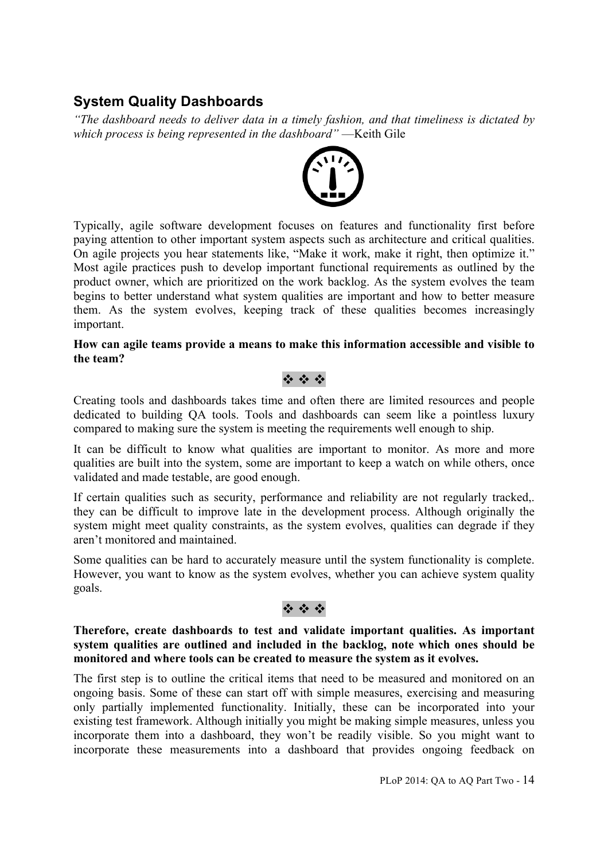# **System Quality Dashboards**

*"The dashboard needs to deliver data in a timely fashion, and that timeliness is dictated by which process is being represented in the dashboard"* —Keith Gile



Typically, agile software development focuses on features and functionality first before paying attention to other important system aspects such as architecture and critical qualities. On agile projects you hear statements like, "Make it work, make it right, then optimize it." Most agile practices push to develop important functional requirements as outlined by the product owner, which are prioritized on the work backlog. As the system evolves the team begins to better understand what system qualities are important and how to better measure them. As the system evolves, keeping track of these qualities becomes increasingly important.

#### **How can agile teams provide a means to make this information accessible and visible to the team?**

### $49.49.49$

Creating tools and dashboards takes time and often there are limited resources and people dedicated to building QA tools. Tools and dashboards can seem like a pointless luxury compared to making sure the system is meeting the requirements well enough to ship.

It can be difficult to know what qualities are important to monitor. As more and more qualities are built into the system, some are important to keep a watch on while others, once validated and made testable, are good enough.

If certain qualities such as security, performance and reliability are not regularly tracked,. they can be difficult to improve late in the development process. Although originally the system might meet quality constraints, as the system evolves, qualities can degrade if they aren't monitored and maintained.

Some qualities can be hard to accurately measure until the system functionality is complete. However, you want to know as the system evolves, whether you can achieve system quality goals.

### $29.49.49$

#### **Therefore, create dashboards to test and validate important qualities. As important system qualities are outlined and included in the backlog, note which ones should be monitored and where tools can be created to measure the system as it evolves.**

The first step is to outline the critical items that need to be measured and monitored on an ongoing basis. Some of these can start off with simple measures, exercising and measuring only partially implemented functionality. Initially, these can be incorporated into your existing test framework. Although initially you might be making simple measures, unless you incorporate them into a dashboard, they won't be readily visible. So you might want to incorporate these measurements into a dashboard that provides ongoing feedback on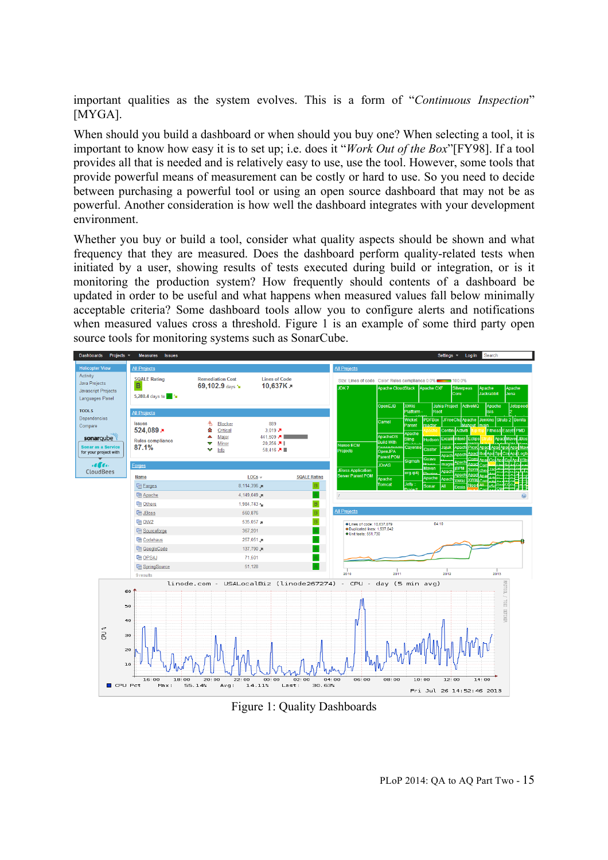important qualities as the system evolves. This is a form of "*Continuous Inspection*" [MYGA].

When should you build a dashboard or when should you buy one? When selecting a tool, it is important to know how easy it is to set up; i.e. does it "*Work Out of the Box*"[FY98]. If a tool provides all that is needed and is relatively easy to use, use the tool. However, some tools that provide powerful means of measurement can be costly or hard to use. So you need to decide between purchasing a powerful tool or using an open source dashboard that may not be as powerful. Another consideration is how well the dashboard integrates with your development environment.

Whether you buy or build a tool, consider what quality aspects should be shown and what frequency that they are measured. Does the dashboard perform quality-related tests when initiated by a user, showing results of tests executed during build or integration, or is it monitoring the production system? How frequently should contents of a dashboard be updated in order to be useful and what happens when measured values fall below minimally acceptable criteria? Some dashboard tools allow you to configure alerts and notifications when measured values cross a threshold. Figure 1 is an example of some third party open source tools for monitoring systems such as SonarCube.



Figure 1: Quality Dashboards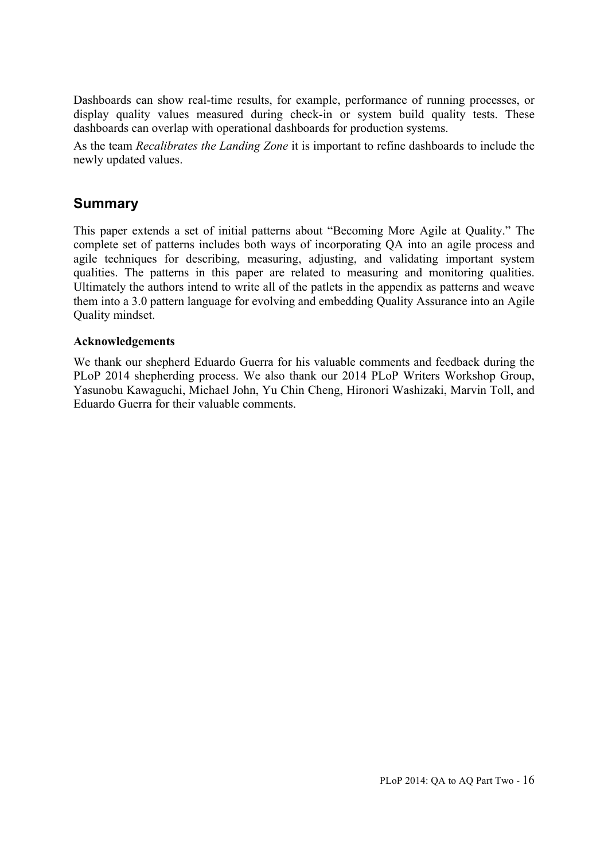Dashboards can show real-time results, for example, performance of running processes, or display quality values measured during check-in or system build quality tests. These dashboards can overlap with operational dashboards for production systems.

As the team *Recalibrates the Landing Zone* it is important to refine dashboards to include the newly updated values.

### **Summary**

This paper extends a set of initial patterns about "Becoming More Agile at Quality." The complete set of patterns includes both ways of incorporating QA into an agile process and agile techniques for describing, measuring, adjusting, and validating important system qualities. The patterns in this paper are related to measuring and monitoring qualities. Ultimately the authors intend to write all of the patlets in the appendix as patterns and weave them into a 3.0 pattern language for evolving and embedding Quality Assurance into an Agile Quality mindset.

#### **Acknowledgements**

We thank our shepherd Eduardo Guerra for his valuable comments and feedback during the PLoP 2014 shepherding process. We also thank our 2014 PLoP Writers Workshop Group, Yasunobu Kawaguchi, Michael John, Yu Chin Cheng, Hironori Washizaki, Marvin Toll, and Eduardo Guerra for their valuable comments.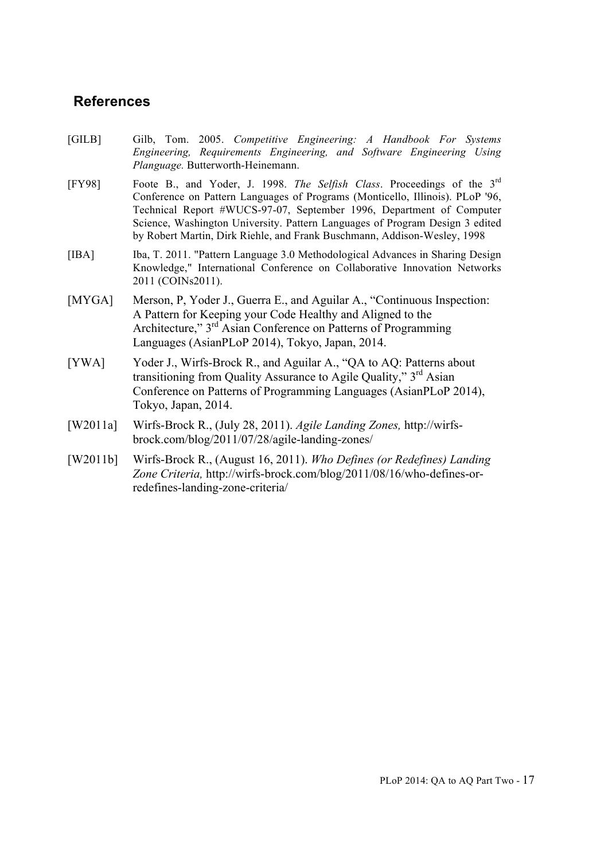### **References**

- [GILB] Gilb, Tom. 2005. *Competitive Engineering: A Handbook For Systems Engineering, Requirements Engineering, and Software Engineering Using Planguage.* Butterworth-Heinemann.
- [FY98] Foote B., and Yoder, J. 1998. *The Selfish Class*. Proceedings of the 3rd Conference on Pattern Languages of Programs (Monticello, Illinois). PLoP '96, Technical Report #WUCS-97-07, September 1996, Department of Computer Science, Washington University. Pattern Languages of Program Design 3 edited by Robert Martin, Dirk Riehle, and Frank Buschmann, Addison-Wesley, 1998
- [IBA] Iba, T. 2011. "Pattern Language 3.0 Methodological Advances in Sharing Design Knowledge," International Conference on Collaborative Innovation Networks 2011 (COINs2011).
- [MYGA] Merson, P, Yoder J., Guerra E., and Aguilar A., "Continuous Inspection: A Pattern for Keeping your Code Healthy and Aligned to the Architecture," 3<sup>rd</sup> Asian Conference on Patterns of Programming Languages (AsianPLoP 2014), Tokyo, Japan, 2014.
- [YWA] Yoder J., Wirfs-Brock R., and Aguilar A., "QA to AQ: Patterns about transitioning from Quality Assurance to Agile Quality," 3<sup>rd</sup> Asian Conference on Patterns of Programming Languages (AsianPLoP 2014), Tokyo, Japan, 2014.
- [W2011a] Wirfs-Brock R., (July 28, 2011). *Agile Landing Zones,* http://wirfsbrock.com/blog/2011/07/28/agile-landing-zones/
- [W2011b] Wirfs-Brock R., (August 16, 2011). *Who Defines (or Redefines) Landing Zone Criteria,* http://wirfs-brock.com/blog/2011/08/16/who-defines-orredefines-landing-zone-criteria/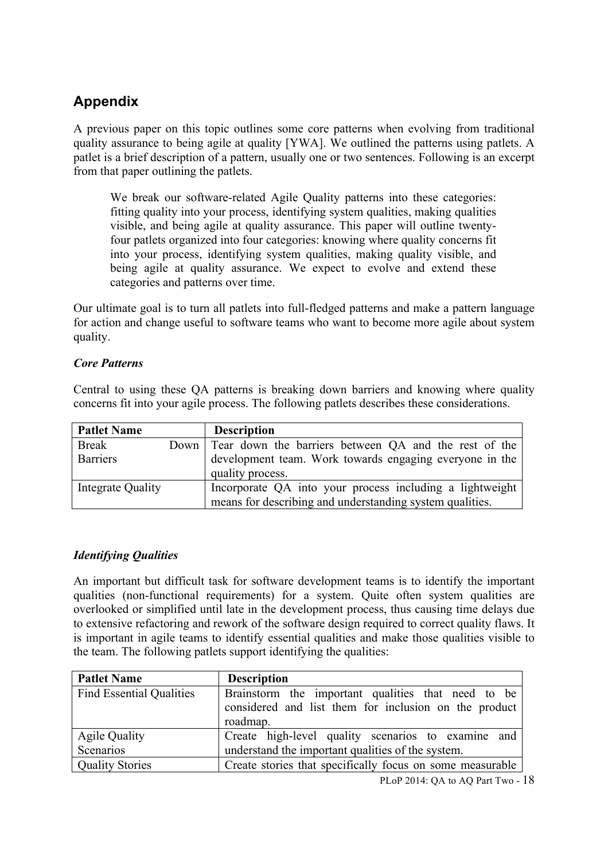# **Appendix**

A previous paper on this topic outlines some core patterns when evolving from traditional quality assurance to being agile at quality [YWA]. We outlined the patterns using patlets. A patlet is a brief description of a pattern, usually one or two sentences. Following is an excerpt from that paper outlining the patlets.

We break our software-related Agile Quality patterns into these categories: fitting quality into your process, identifying system qualities, making qualities visible, and being agile at quality assurance. This paper will outline twentyfour patlets organized into four categories: knowing where quality concerns fit into your process, identifying system qualities, making quality visible, and being agile at quality assurance. We expect to evolve and extend these categories and patterns over time.

Our ultimate goal is to turn all patlets into full-fledged patterns and make a pattern language for action and change useful to software teams who want to become more agile about system quality.

### *Core Patterns*

Central to using these QA patterns is breaking down barriers and knowing where quality concerns fit into your agile process. The following patlets describes these considerations.

| <b>Patlet Name</b> | <b>Description</b>                                                          |
|--------------------|-----------------------------------------------------------------------------|
| Break              | Down Tear down the barriers between QA and the rest of the                  |
| <b>Barriers</b>    | development team. Work towards engaging everyone in the<br>quality process. |
| Integrate Quality  | Incorporate QA into your process including a lightweight                    |
|                    | means for describing and understanding system qualities.                    |

### *Identifying Qualities*

An important but difficult task for software development teams is to identify the important qualities (non-functional requirements) for a system. Quite often system qualities are overlooked or simplified until late in the development process, thus causing time delays due to extensive refactoring and rework of the software design required to correct quality flaws. It is important in agile teams to identify essential qualities and make those qualities visible to the team. The following patlets support identifying the qualities:

| <b>Patlet Name</b>                | <b>Description</b>                                                                                                      |
|-----------------------------------|-------------------------------------------------------------------------------------------------------------------------|
| <b>Find Essential Qualities</b>   | Brainstorm the important qualities that need to be<br>considered and list them for inclusion on the product<br>roadmap. |
| <b>Agile Quality</b><br>Scenarios | Create high-level quality scenarios to examine and<br>understand the important qualities of the system.                 |
| <b>Quality Stories</b>            | Create stories that specifically focus on some measurable                                                               |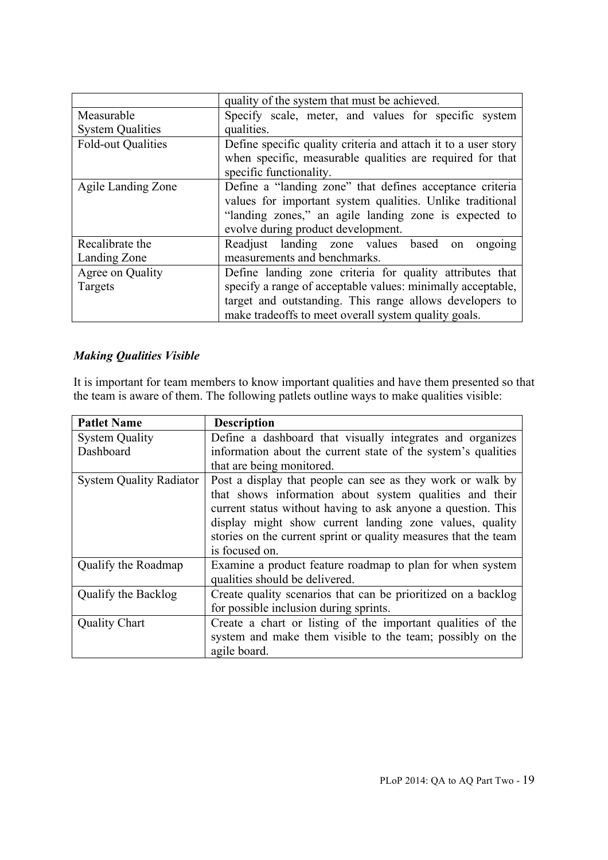|                           | quality of the system that must be achieved.                   |
|---------------------------|----------------------------------------------------------------|
| Measurable                | Specify scale, meter, and values for specific system           |
| <b>System Qualities</b>   | qualities.                                                     |
| <b>Fold-out Qualities</b> | Define specific quality criteria and attach it to a user story |
|                           | when specific, measurable qualities are required for that      |
|                           | specific functionality.                                        |
| Agile Landing Zone        | Define a "landing zone" that defines acceptance criteria       |
|                           | values for important system qualities. Unlike traditional      |
|                           | "landing zones," an agile landing zone is expected to          |
|                           | evolve during product development.                             |
| Recalibrate the           | Readjust landing zone values based<br>ongoing<br>on            |
| Landing Zone              | measurements and benchmarks.                                   |
| Agree on Quality          | Define landing zone criteria for quality attributes that       |
| Targets                   | specify a range of acceptable values: minimally acceptable,    |
|                           | target and outstanding. This range allows developers to        |
|                           | make tradeoffs to meet overall system quality goals.           |

### *Making Qualities Visible*

It is important for team members to know important qualities and have them presented so that the team is aware of them. The following patlets outline ways to make qualities visible:

| <b>Patlet Name</b>             | <b>Description</b>                                              |
|--------------------------------|-----------------------------------------------------------------|
| <b>System Quality</b>          | Define a dashboard that visually integrates and organizes       |
| Dashboard                      | information about the current state of the system's qualities   |
|                                | that are being monitored.                                       |
| <b>System Quality Radiator</b> | Post a display that people can see as they work or walk by      |
|                                | that shows information about system qualities and their         |
|                                | current status without having to ask anyone a question. This    |
|                                | display might show current landing zone values, quality         |
|                                | stories on the current sprint or quality measures that the team |
|                                | is focused on.                                                  |
| Qualify the Roadmap            | Examine a product feature roadmap to plan for when system       |
|                                | qualities should be delivered.                                  |
| Qualify the Backlog            | Create quality scenarios that can be prioritized on a backlog   |
|                                | for possible inclusion during sprints.                          |
| <b>Quality Chart</b>           | Create a chart or listing of the important qualities of the     |
|                                | system and make them visible to the team; possibly on the       |
|                                | agile board.                                                    |